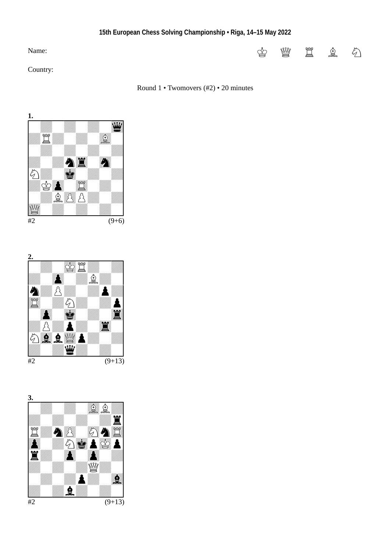## Name:

Country:

## Round 1 • Twomovers (#2) • 20 minutes





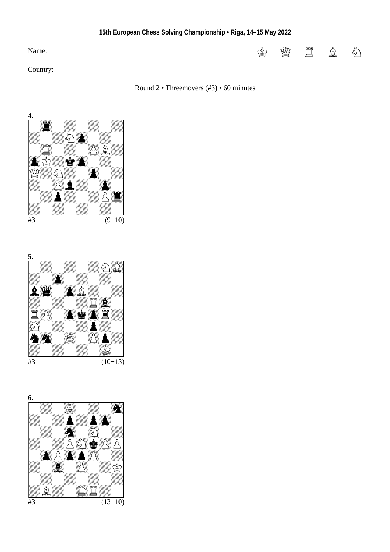## Name:

Country:

## Round 2 • Threemovers (#3) • 60 minutes





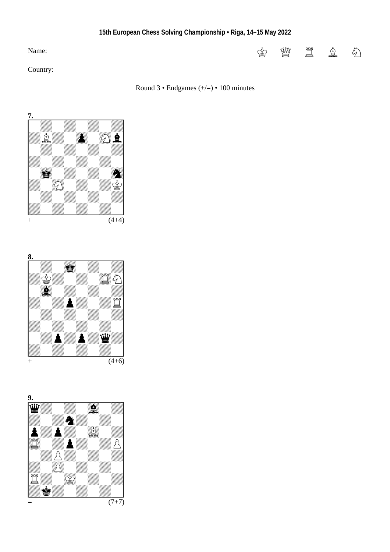# Name:

Country:







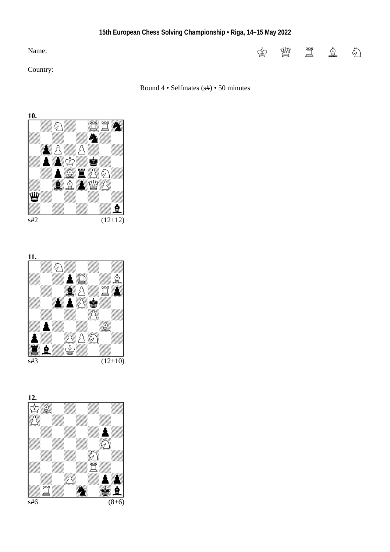# Name:

Country:

## Round 4 • Selfmates (s#) • 50 minutes





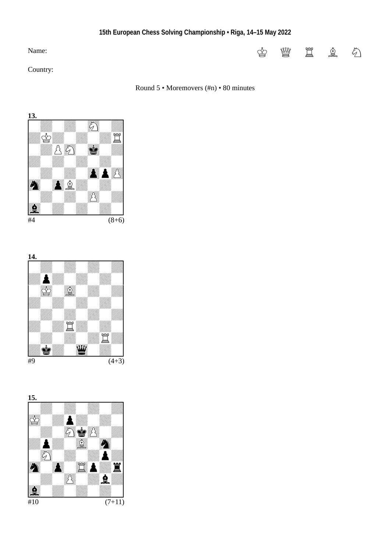# Name:

Country:

## Round 5 • Moremovers (#n) • 80 minutes